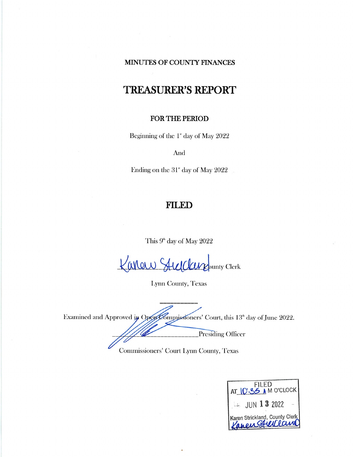## MINUTES OF COUNTY FINANCES

# **TREASURER'S REPORT**

## FOR THE PERIOD

Beginning of the 1<sup>s</sup> day of May 2022

And

Ending on the 31<sup>st</sup> day of May 2022

## **FILED**

This 9<sup>th</sup> day of May 2022

Kanaw Stulclarge unty Clerk

Lynn County, Texas

Examined and Approved in OpenCommissioners' Court, this 13<sup>th</sup> day of June 2022. **Presiding Officer** 

Commissioners' Court Lynn County, Texas

| FILED<br>AT IO:35 A M O'CLOCK                      |  |
|----------------------------------------------------|--|
| $L =$ JUN 1 3 2022                                 |  |
| Karen Strickland, County Clerk<br>Kaneus Stulllauw |  |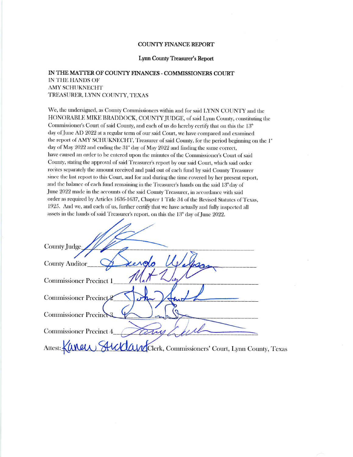#### **COUNTY FINANCE REPORT**

#### Lynn County Treasurer's Report

#### IN THE MATTER OF COUNTY FINANCES - COMMISSIONERS COURT IN THE HANDS OF AMY SCHUKNECHT TREASURER, LYNN COUNTY, TEXAS

We, the undersigned, as County Commissioners within and for said LYNN COUNTY and the HONORABLE MIKE BRADDOCK, COUNTY JUDGE, of said Lynn County, constituting the Commissioner's Court of said County, and each of us do hereby certify that on this the 13<sup>th</sup> day of June AD 2022 at a regular term of our said Court, we have compared and examined the report of AMY SCHUKNECHT, Treasurer of said County, for the period beginning on the 1<sup>\*</sup> day of May 2022 and ending the  $31^{\circ}$  day of May 2022 and finding the same correct. have caused an order to be entered upon the minutes of the Commissioner's Court of said County, stating the approval of said Treasurer's report by our said Court, which said order recites separately the amount received and paid out of each fund by said County Treasurer since the last report to this Court, and for and during the time covered by her present report, and the balance of each fund remaining in the Treasurer's hands on the said 13<sup>th</sup> day of June 2022 made in the accounts of the said County Treasurer, in accordance with said order as required by Articles 1636-1637, Chapter 1 Title 34 of the Revised Statutes of Texas, 1925. And we, and each of us, further certify that we have actually and fully inspected all assets in the hands of said Treasurer's report, on this the 13<sup>th</sup> day of June 2022.

| County Judge                                                          |
|-----------------------------------------------------------------------|
| County Auditor                                                        |
| <b>Commissioner Precinct 1</b>                                        |
| Commissioner Precinct                                                 |
| <b>Commissioner Precind</b>                                           |
| <b>Commissioner Precinct 4</b>                                        |
| Attest: Kanew Suddand Clerk, Commissioners' Court, Lynn County, Texas |
|                                                                       |